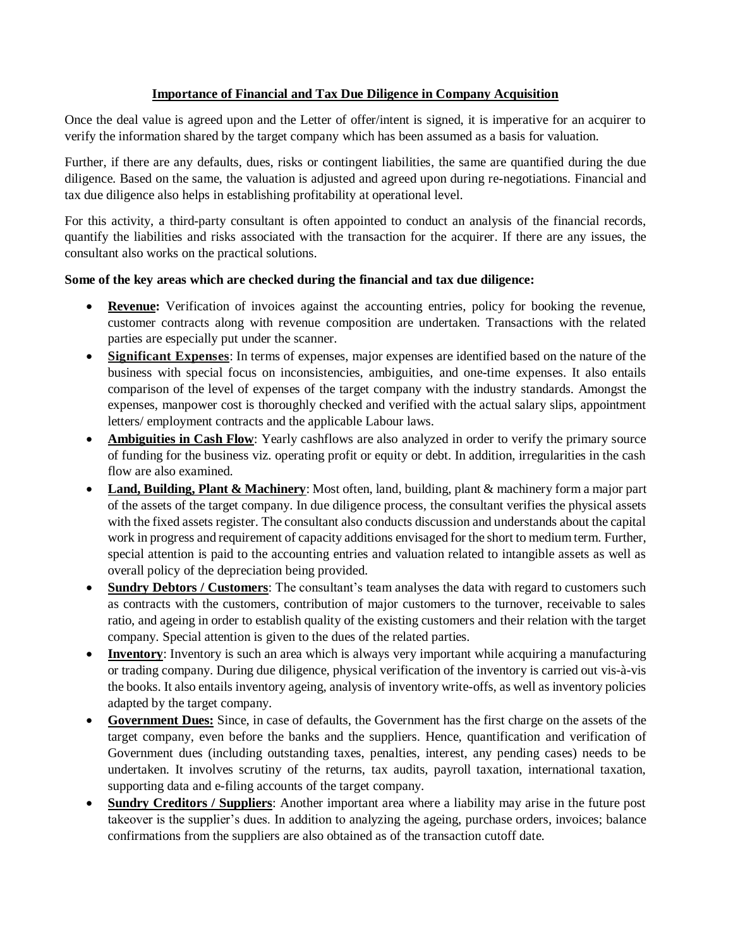## **Importance of Financial and Tax Due Diligence in Company Acquisition**

Once the deal value is agreed upon and the Letter of offer/intent is signed, it is imperative for an acquirer to verify the information shared by the target company which has been assumed as a basis for valuation.

Further, if there are any defaults, dues, risks or contingent liabilities, the same are quantified during the due diligence. Based on the same, the valuation is adjusted and agreed upon during re-negotiations. Financial and tax due diligence also helps in establishing profitability at operational level.

For this activity, a third-party consultant is often appointed to conduct an analysis of the financial records, quantify the liabilities and risks associated with the transaction for the acquirer. If there are any issues, the consultant also works on the practical solutions.

## **Some of the key areas which are checked during the financial and tax due diligence:**

- **Revenue:** Verification of invoices against the accounting entries, policy for booking the revenue, customer contracts along with revenue composition are undertaken. Transactions with the related parties are especially put under the scanner.
- **Significant Expenses**: In terms of expenses, major expenses are identified based on the nature of the business with special focus on inconsistencies, ambiguities, and one-time expenses. It also entails comparison of the level of expenses of the target company with the industry standards. Amongst the expenses, manpower cost is thoroughly checked and verified with the actual salary slips, appointment letters/ employment contracts and the applicable Labour laws.
- **Ambiguities in Cash Flow**: Yearly cashflows are also analyzed in order to verify the primary source of funding for the business viz. operating profit or equity or debt. In addition, irregularities in the cash flow are also examined.
- **Land, Building, Plant & Machinery**: Most often, land, building, plant & machinery form a major part of the assets of the target company. In due diligence process, the consultant verifies the physical assets with the fixed assets register. The consultant also conducts discussion and understands about the capital work in progress and requirement of capacity additions envisaged for the short to medium term. Further, special attention is paid to the accounting entries and valuation related to intangible assets as well as overall policy of the depreciation being provided.
- **Sundry Debtors / Customers**: The consultant's team analyses the data with regard to customers such as contracts with the customers, contribution of major customers to the turnover, receivable to sales ratio, and ageing in order to establish quality of the existing customers and their relation with the target company. Special attention is given to the dues of the related parties.
- **Inventory**: Inventory is such an area which is always very important while acquiring a manufacturing or trading company. During due diligence, physical verification of the inventory is carried out vis-à-vis the books. It also entails inventory ageing, analysis of inventory write-offs, as well as inventory policies adapted by the target company.
- **Government Dues:** Since, in case of defaults, the Government has the first charge on the assets of the target company, even before the banks and the suppliers. Hence, quantification and verification of Government dues (including outstanding taxes, penalties, interest, any pending cases) needs to be undertaken. It involves scrutiny of the returns, tax audits, payroll taxation, international taxation, supporting data and e-filing accounts of the target company.
- **Sundry Creditors / Suppliers**: Another important area where a liability may arise in the future post takeover is the supplier's dues. In addition to analyzing the ageing, purchase orders, invoices; balance confirmations from the suppliers are also obtained as of the transaction cutoff date.